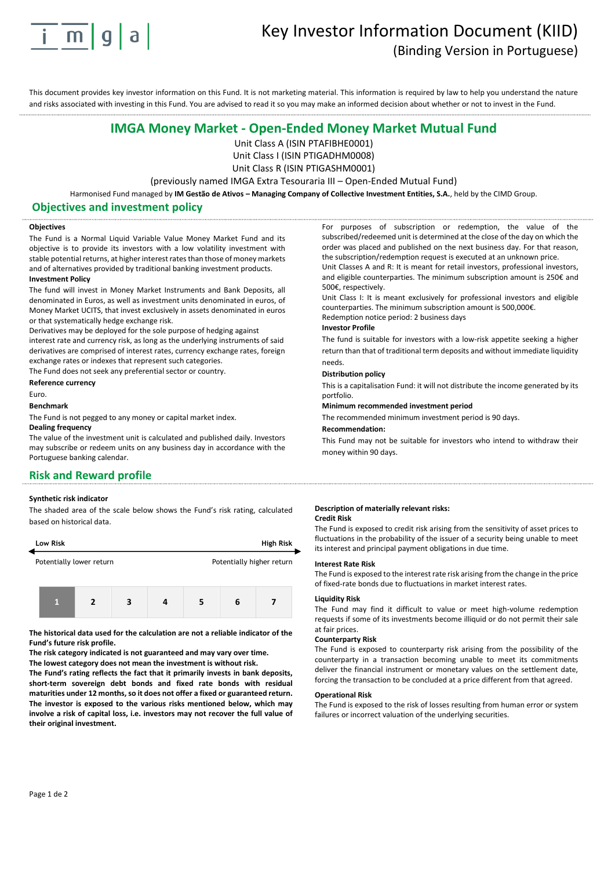

# Key Investor Information Document (KIID) (Binding Version in Portuguese)

This document provides key investor information on this Fund. It is not marketing material. This information is required by law to help you understand the nature and risks associated with investing in this Fund. You are advised to read it so you may make an informed decision about whether or not to invest in the Fund.

# **IMGA Money Market - Open-Ended Money Market Mutual Fund**

Unit Class A (ISIN PTAFIBHE0001)

Unit Class I (ISIN PTIGADHM0008)

Unit Class R (ISIN PTIGASHM0001)

(previously named IMGA Extra Tesouraria III – Open-Ended Mutual Fund)

Harmonised Fund managed by **IM Gestão de Ativos – Managing Company of Collective Investment Entities, S.A.**, held by the CIMD Group.

### **Objectives and investment policy**

#### **Objectives**

The Fund is a Normal Liquid Variable Value Money Market Fund and its objective is to provide its investors with a low volatility investment with stable potential returns, at higher interest rates than those of money markets and of alternatives provided by traditional banking investment products. **Investment Policy**

The fund will invest in Money Market Instruments and Bank Deposits, all denominated in Euros, as well as investment units denominated in euros, of Money Market UCITS, that invest exclusively in assets denominated in euros or that systematically hedge exchange risk.

Derivatives may be deployed for the sole purpose of hedging against interest rate and currency risk, as long as the underlying instruments of said derivatives are comprised of interest rates, currency exchange rates, foreign exchange rates or indexes that represent such categories.

The Fund does not seek any preferential sector or country.

**Reference currency** 

#### Euro.

#### **Benchmark**

The Fund is not pegged to any money or capital market index.

#### **Dealing frequency**

The value of the investment unit is calculated and published daily. Investors may subscribe or redeem units on any business day in accordance with the Portuguese banking calendar.

# **Risk and Reward profile**

#### **Synthetic risk indicator**

The shaded area of the scale below shows the Fund's risk rating, calculated based on historical data.

| Low Risk                                              |  |   |   |  |   | <b>High Risk</b> |  |  |
|-------------------------------------------------------|--|---|---|--|---|------------------|--|--|
| Potentially lower return<br>Potentially higher return |  |   |   |  |   |                  |  |  |
|                                                       |  | э | 3 |  | 5 | 6                |  |  |

**The historical data used for the calculation are not a reliable indicator of the Fund's future risk profile.**

**The risk category indicated is not guaranteed and may vary over time. The lowest category does not mean the investment is without risk.** 

**The Fund's rating reflects the fact that it primarily invests in bank deposits, short-term sovereign debt bonds and fixed rate bonds with residual maturities under 12 months, so it does not offer a fixed or guaranteed return. The investor is exposed to the various risks mentioned below, which may involve a risk of capital loss, i.e. investors may not recover the full value of their original investment.**

For purposes of subscription or redemption, the value of the subscribed/redeemed unit is determined at the close of the day on which the order was placed and published on the next business day. For that reason, the subscription/redemption request is executed at an unknown price. Unit Classes A and R: It is meant for retail investors, professional investors, and eligible counterparties. The minimum subscription amount is 250€ and

500€, respectively. Unit Class I: It is meant exclusively for professional investors and eligible

counterparties. The minimum subscription amount is 500,000€. Redemption notice period: 2 business days

#### **Investor Profile**

The fund is suitable for investors with a low-risk appetite seeking a higher return than that of traditional term deposits and without immediate liquidity needs.

#### **Distribution policy**

This is a capitalisation Fund: it will not distribute the income generated by its portfolio.

# **Minimum recommended investment period**

The recommended minimum investment period is 90 days.

#### **Recommendation:**

This Fund may not be suitable for investors who intend to withdraw their money within 90 days.

#### **Description of materially relevant risks: Credit Risk**

The Fund is exposed to credit risk arising from the sensitivity of asset prices to fluctuations in the probability of the issuer of a security being unable to meet its interest and principal payment obligations in due time.

#### **Interest Rate Risk**

The Fund is exposed to the interest rate risk arising from the change in the price of fixed-rate bonds due to fluctuations in market interest rates.

#### **Liquidity Risk**

The Fund may find it difficult to value or meet high-volume redemption requests if some of its investments become illiquid or do not permit their sale at fair prices.

#### **Counterparty Risk**

The Fund is exposed to counterparty risk arising from the possibility of the counterparty in a transaction becoming unable to meet its commitments deliver the financial instrument or monetary values on the settlement date, forcing the transaction to be concluded at a price different from that agreed.

#### **Operational Risk**

The Fund is exposed to the risk of losses resulting from human error or system failures or incorrect valuation of the underlying securities.